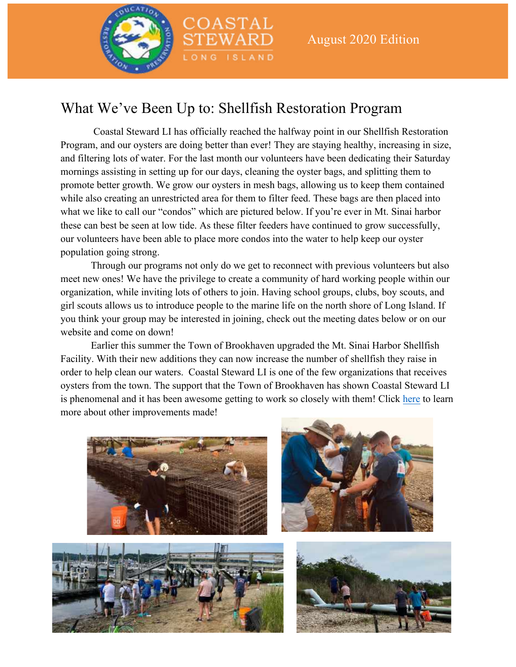

### What We've Been Up to: Shellfish Restoration Program

COASTAL

LONG ISLAND

Coastal Steward LI has officially reached the halfway point in our Shellfish Restoration Program, and our oysters are doing better than ever! They are staying healthy, increasing in size, and filtering lots of water. For the last month our volunteers have been dedicating their Saturday mornings assisting in setting up for our days, cleaning the oyster bags, and splitting them to promote better growth. We grow our oysters in mesh bags, allowing us to keep them contained while also creating an unrestricted area for them to filter feed. These bags are then placed into what we like to call our "condos" which are pictured below. If you're ever in Mt. Sinai harbor these can best be seen at low tide. As these filter feeders have continued to grow successfully, our volunteers have been able to place more condos into the water to help keep our oyster population going strong.

Through our programs not only do we get to reconnect with previous volunteers but also meet new ones! We have the privilege to create a community of hard working people within our organization, while inviting lots of others to join. Having school groups, clubs, boy scouts, and girl scouts allows us to introduce people to the marine life on the north shore of Long Island. If you think your group may be interested in joining, check out the meeting dates below or on our website and come on down!

Earlier this summer the Town of Brookhaven upgraded the Mt. Sinai Harbor Shellfish Facility. With their new additions they can now increase the number of shellfish they raise in order to help clean our waters. Coastal Steward LI is one of the few organizations that receives oysters from the town. The support that the Town of Brookhaven has shown Coastal Steward LI is phenomenal and it has been awesome getting to work so closely with them! Click here to learn more about other improvements made!







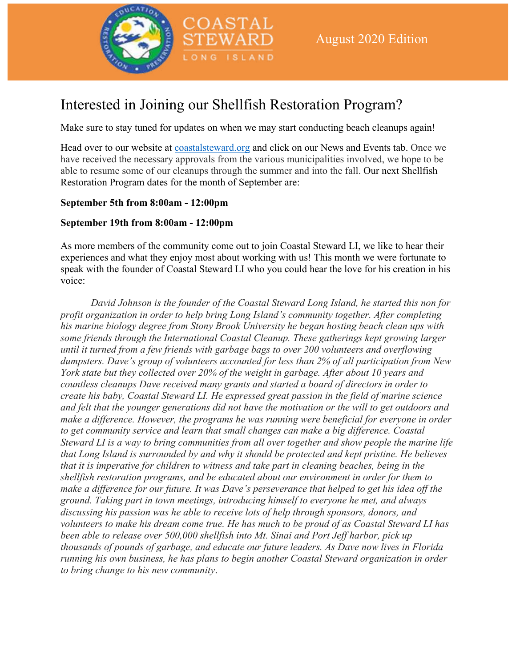

## Interested in Joining our Shellfish Restoration Program?

COASTAL

LONG ISLAND

Make sure to stay tuned for updates on when we may start conducting beach cleanups again!

Head over to our website at coastalsteward.org and click on our News and Events tab. Once we have received the necessary approvals from the various municipalities involved, we hope to be able to resume some of our cleanups through the summer and into the fall. Our next Shellfish Restoration Program dates for the month of September are:

#### **September 5th from 8:00am - 12:00pm**

#### **September 19th from 8:00am - 12:00pm**

As more members of the community come out to join Coastal Steward LI, we like to hear their experiences and what they enjoy most about working with us! This month we were fortunate to speak with the founder of Coastal Steward LI who you could hear the love for his creation in his voice:

*David Johnson is the founder of the Coastal Steward Long Island, he started this non for profit organization in order to help bring Long Island's community together. After completing his marine biology degree from Stony Brook University he began hosting beach clean ups with some friends through the International Coastal Cleanup. These gatherings kept growing larger until it turned from a few friends with garbage bags to over 200 volunteers and overflowing dumpsters. Dave's group of volunteers accounted for less than 2% of all participation from New York state but they collected over 20% of the weight in garbage. After about 10 years and countless cleanups Dave received many grants and started a board of directors in order to create his baby, Coastal Steward LI. He expressed great passion in the field of marine science and felt that the younger generations did not have the motivation or the will to get outdoors and make a difference. However, the programs he was running were beneficial for everyone in order to get community service and learn that small changes can make a big difference. Coastal Steward LI is a way to bring communities from all over together and show people the marine life that Long Island is surrounded by and why it should be protected and kept pristine. He believes that it is imperative for children to witness and take part in cleaning beaches, being in the shellfish restoration programs, and be educated about our environment in order for them to make a difference for our future. It was Dave's perseverance that helped to get his idea off the ground. Taking part in town meetings, introducing himself to everyone he met, and always discussing his passion was he able to receive lots of help through sponsors, donors, and volunteers to make his dream come true. He has much to be proud of as Coastal Steward LI has been able to release over 500,000 shellfish into Mt. Sinai and Port Jeff harbor, pick up thousands of pounds of garbage, and educate our future leaders. As Dave now lives in Florida running his own business, he has plans to begin another Coastal Steward organization in order to bring change to his new community*.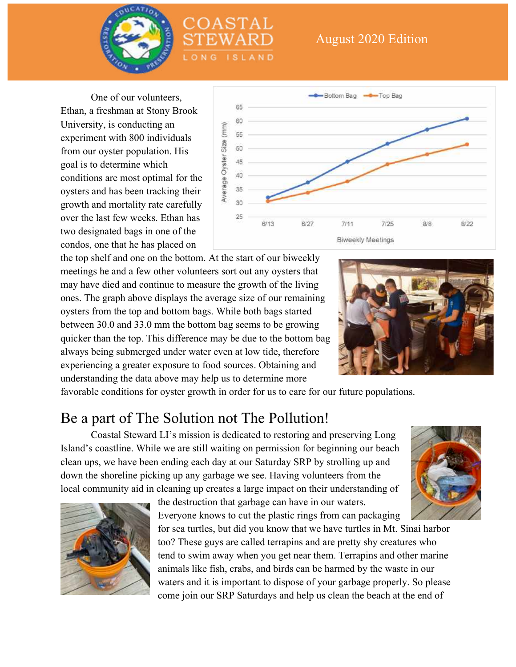

#### August 2020 Edition

One of our volunteers, Ethan, a freshman at Stony Brook University, is conducting an experiment with 800 individuals from our oyster population. His goal is to determine which conditions are most optimal for the oysters and has been tracking their growth and mortality rate carefully over the last few weeks. Ethan has two designated bags in one of the condos, one that he has placed on



the top shelf and one on the bottom. At the start of our biweekly meetings he and a few other volunteers sort out any oysters that may have died and continue to measure the growth of the living ones. The graph above displays the average size of our remaining oysters from the top and bottom bags. While both bags started between 30.0 and 33.0 mm the bottom bag seems to be growing quicker than the top. This difference may be due to the bottom bag always being submerged under water even at low tide, therefore experiencing a greater exposure to food sources. Obtaining and understanding the data above may help us to determine more



favorable conditions for oyster growth in order for us to care for our future populations.

OASTAL

NG ISLAND

#### Be a part of The Solution not The Pollution!

Coastal Steward LI's mission is dedicated to restoring and preserving Long Island's coastline. While we are still waiting on permission for beginning our beach clean ups, we have been ending each day at our Saturday SRP by strolling up and down the shoreline picking up any garbage we see. Having volunteers from the local community aid in cleaning up creates a large impact on their understanding of



the destruction that garbage can have in our waters. Everyone knows to cut the plastic rings from can packaging

for sea turtles, but did you know that we have turtles in Mt. Sinai harbor too? These guys are called terrapins and are pretty shy creatures who tend to swim away when you get near them. Terrapins and other marine animals like fish, crabs, and birds can be harmed by the waste in our waters and it is important to dispose of your garbage properly. So please come join our SRP Saturdays and help us clean the beach at the end of

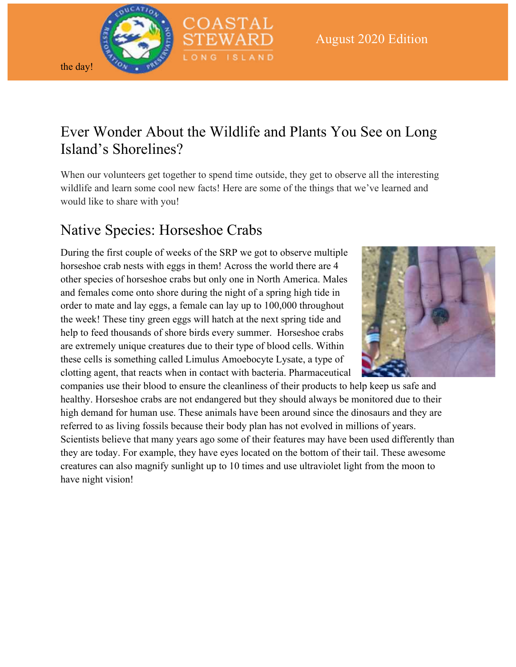

the day!

Ever Wonder About the Wildlife and Plants You See on Long Island's Shorelines?

When our volunteers get together to spend time outside, they get to observe all the interesting wildlife and learn some cool new facts! Here are some of the things that we've learned and would like to share with you!

# Native Species: Horseshoe Crabs

During the first couple of weeks of the SRP we got to observe multiple horseshoe crab nests with eggs in them! Across the world there are 4 other species of horseshoe crabs but only one in North America. Males and females come onto shore during the night of a spring high tide in order to mate and lay eggs, a female can lay up to 100,000 throughout the week! These tiny green eggs will hatch at the next spring tide and help to feed thousands of shore birds every summer. Horseshoe crabs are extremely unique creatures due to their type of blood cells. Within these cells is something called Limulus Amoebocyte Lysate, a type of clotting agent, that reacts when in contact with bacteria. Pharmaceutical



companies use their blood to ensure the cleanliness of their products to help keep us safe and healthy. Horseshoe crabs are not endangered but they should always be monitored due to their high demand for human use. These animals have been around since the dinosaurs and they are referred to as living fossils because their body plan has not evolved in millions of years. Scientists believe that many years ago some of their features may have been used differently than they are today. For example, they have eyes located on the bottom of their tail. These awesome creatures can also magnify sunlight up to 10 times and use ultraviolet light from the moon to have night vision!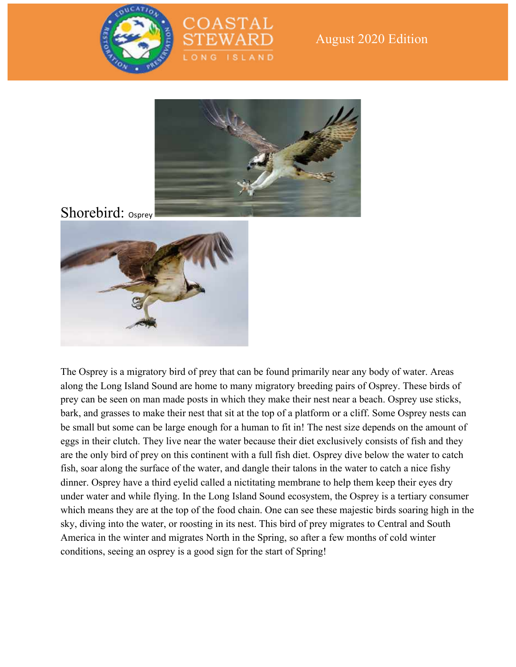

#### August 2020 Edition



DASTAL

NG ISLAND

### Shorebird: <sub>Osprey</sub>



The Osprey is a migratory bird of prey that can be found primarily near any body of water. Areas along the Long Island Sound are home to many migratory breeding pairs of Osprey. These birds of prey can be seen on man made posts in which they make their nest near a beach. Osprey use sticks, bark, and grasses to make their nest that sit at the top of a platform or a cliff. Some Osprey nests can be small but some can be large enough for a human to fit in! The nest size depends on the amount of eggs in their clutch. They live near the water because their diet exclusively consists of fish and they are the only bird of prey on this continent with a full fish diet. Osprey dive below the water to catch fish, soar along the surface of the water, and dangle their talons in the water to catch a nice fishy dinner. Osprey have a third eyelid called a nictitating membrane to help them keep their eyes dry under water and while flying. In the Long Island Sound ecosystem, the Osprey is a tertiary consumer which means they are at the top of the food chain. One can see these majestic birds soaring high in the sky, diving into the water, or roosting in its nest. This bird of prey migrates to Central and South America in the winter and migrates North in the Spring, so after a few months of cold winter conditions, seeing an osprey is a good sign for the start of Spring!